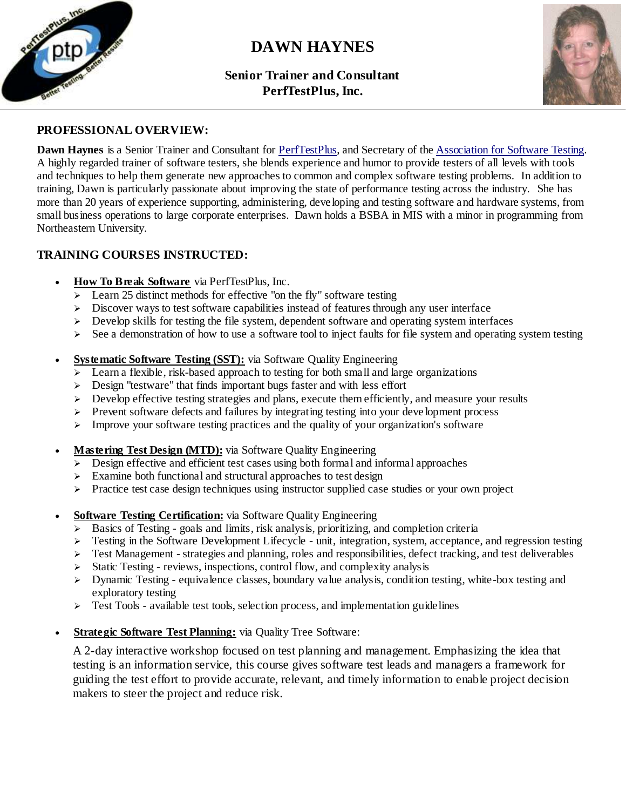

# **DAWN HAYNES**

# **Senior Trainer and Consultant PerfTestPlus, Inc.**



# **PROFESSIONAL OVERVIEW:**

**Dawn Haynes** is a Senior Trainer and Consultant for [PerfTestPlus,](http://www.perftestplus.com/) and Secretary of th[e Association for Software Testing.](http://www.associationforsoftwaretesting.org/) A highly regarded trainer of software testers, she blends experience and humor to provide testers of all levels with tools and techniques to help them generate new approaches to common and complex software testing problems. In addition to training, Dawn is particularly passionate about improving the state of performance testing across the industry. She has more than 20 years of experience supporting, administering, developing and testing software and hardware systems, from small business operations to large corporate enterprises. Dawn holds a BSBA in MIS with a minor in programming from Northeastern University.

# **TRAINING COURSES INSTRUCTED:**

- **How To Break Software** via PerfTestPlus, Inc.
	- $\geq$  Learn 25 distinct methods for effective "on the fly" software testing
	- $\triangleright$  Discover ways to test software capabilities instead of features through any user interface
	- $\triangleright$  Develop skills for testing the file system, dependent software and operating system interfaces
	- $\geq$  See a demonstration of how to use a software tool to inject faults for file system and operating system testing
- **Systematic Software Testing (SST):** via Software Quality Engineering
	- $\geq$  Learn a flexible, risk-based approach to testing for both small and large organizations
	- $\geq$  Design "testware" that finds important bugs faster and with less effort
	- $\triangleright$  Develop effective testing strategies and plans, execute them efficiently, and measure your results
	- $\triangleright$  Prevent software defects and failures by integrating testing into your development process
	- $\triangleright$  Improve your software testing practices and the quality of your organization's software
- **Mastering Test Design (MTD):** via Software Quality Engineering
	- $\triangleright$  Design effective and efficient test cases using both formal and informal approaches
	- $\triangleright$  Examine both functional and structural approaches to test design
	- Practice test case design techniques using instructor supplied case studies or your own project
- **Software Testing Certification:** via Software Quality Engineering
	- $\triangleright$  Basics of Testing goals and limits, risk analysis, prioritizing, and completion criteria
	- $\triangleright$  Testing in the Software Development Lifecycle unit, integration, system, acceptance, and regression testing
	- $\triangleright$  Test Management strategies and planning, roles and responsibilities, defect tracking, and test deliverables
	- $\triangleright$  Static Testing reviews, inspections, control flow, and complexity analysis
	- $\triangleright$  Dynamic Testing equivalence classes, boundary value analysis, condition testing, white-box testing and exploratory testing
	- $\triangleright$  Test Tools available test tools, selection process, and implementation guidelines
- **Strategic Software Test Planning:** via Quality Tree Software:

A 2-day interactive workshop focused on test planning and management. Emphasizing the idea that testing is an information service, this course gives software test leads and managers a framework for guiding the test effort to provide accurate, relevant, and timely information to enable project decision makers to steer the project and reduce risk.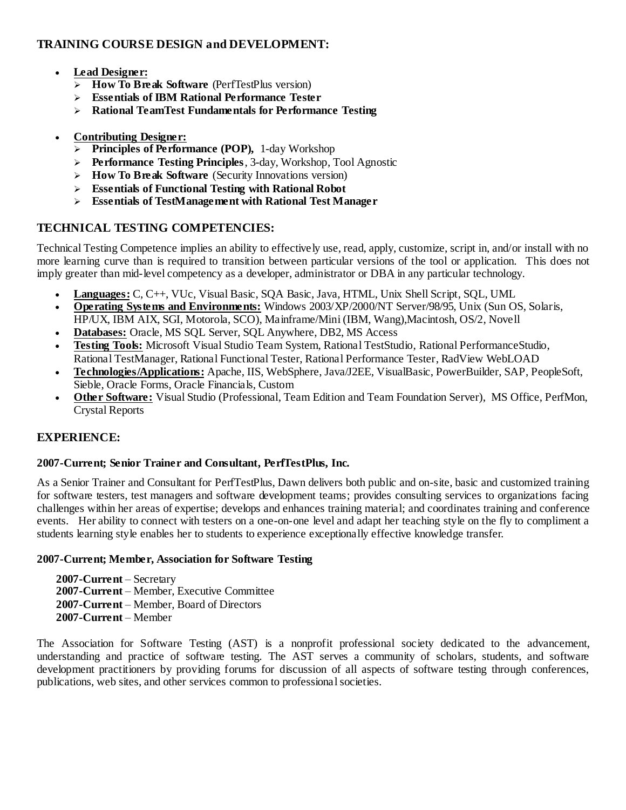# **TRAINING COURSE DESIGN and DEVELOPMENT:**

- **Lead Designer:**
	- **How To Break Software** (PerfTestPlus version)
	- **Essentials of IBM Rational Performance Tester**
	- **Rational TeamTest Fundamentals for Performance Testing**
- **Contributing Designer:**
	- **Principles of Performance (POP),** 1-day Workshop
	- **Performance Testing Principles**, 3-day, Workshop, Tool Agnostic
	- **How To Break Software** (Security Innovations version)
	- **Essentials of Functional Testing with Rational Robot**
	- **Essentials of TestManagement with Rational Test Manager**

# **TECHNICAL TESTING COMPETENCIES:**

Technical Testing Competence implies an ability to effectively use, read, apply, customize, script in, and/or install with no more learning curve than is required to transition between particular versions of the tool or application. This does not imply greater than mid-level competency as a developer, administrator or DBA in any particular technology.

- **Languages:** C, C++, VUc, Visual Basic, SQA Basic, Java, HTML, Unix Shell Script, SQL, UML
- **Operating Systems and Environments:** Windows 2003/XP/2000/NT Server/98/95, Unix (Sun OS, Solaris, HP/UX, IBM AIX, SGI, Motorola, SCO), Mainframe/Mini (IBM, Wang),Macintosh, OS/2, Novell
- **Databases:** Oracle, MS SQL Server, SQL Anywhere, DB2, MS Access
- **Testing Tools:** Microsoft Visual Studio Team System, Rational TestStudio, Rational PerformanceStudio, Rational TestManager, Rational Functional Tester, Rational Performance Tester, RadView WebLOAD
- **Technologies/Applications:** Apache, IIS, WebSphere, Java/J2EE, VisualBasic, PowerBuilder, SAP, PeopleSoft, Sieble, Oracle Forms, Oracle Financials, Custom
- **Other Software:** Visual Studio (Professional, Team Edition and Team Foundation Server), MS Office, PerfMon, Crystal Reports

# **EXPERIENCE:**

## **2007-Current; Senior Trainer and Consultant, PerfTestPlus, Inc.**

As a Senior Trainer and Consultant for PerfTestPlus, Dawn delivers both public and on-site, basic and customized training for software testers, test managers and software development teams; provides consulting services to organizations facing challenges within her areas of expertise; develops and enhances training material; and coordinates training and conference events. Her ability to connect with testers on a one-on-one level and adapt her teaching style on the fly to compliment a students learning style enables her to students to experience exceptionally effective knowledge transfer.

## **2007-Current; Member, Association for Software Testing**

**2007-Current** – Secretary **2007-Current** – Member, Executive Committee **2007-Current** – Member, Board of Directors **2007-Current** – Member

The Association for Software Testing (AST) is a nonprofit professional society dedicated to the advancement, understanding and practice of software testing. The AST serves a community of scholars, students, and software development practitioners by providing forums for discussion of all aspects of software testing through conferences, publications, web sites, and other services common to professional societies.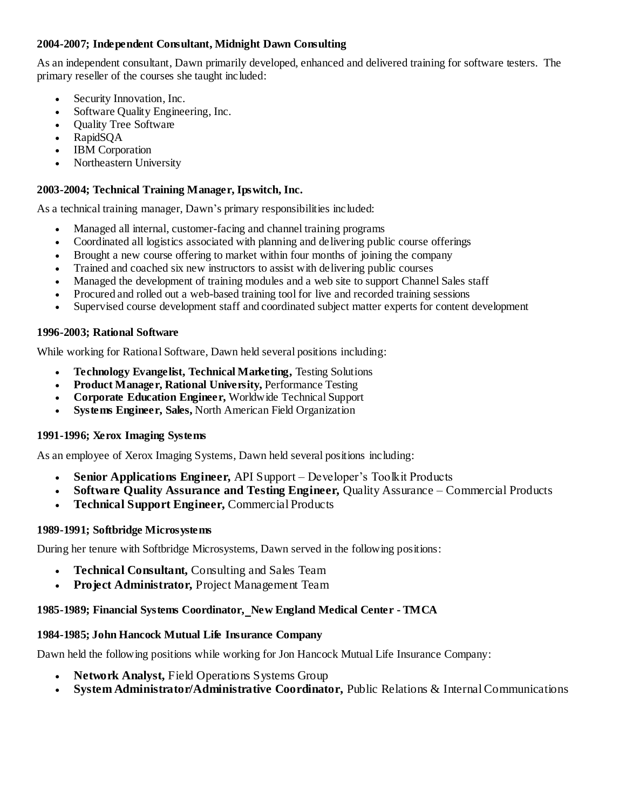## **2004-2007; Independent Consultant, Midnight Dawn Consulting**

As an independent consultant, Dawn primarily developed, enhanced and delivered training for software testers. The primary reseller of the courses she taught included:

- Security Innovation, Inc.
- Software Quality Engineering, Inc.
- Quality Tree Software
- RapidSQA
- IBM Corporation
- Northeastern University

#### **2003-2004; Technical Training Manager, Ipswitch, Inc.**

As a technical training manager, Dawn's primary responsibilities included:

- Managed all internal, customer-facing and channel training programs
- Coordinated all logistics associated with planning and delivering public course offerings
- Brought a new course offering to market within four months of joining the company
- Trained and coached six new instructors to assist with delivering public courses
- Managed the development of training modules and a web site to support Channel Sales staff
- Procured and rolled out a web-based training tool for live and recorded training sessions
- Supervised course development staff and coordinated subject matter experts for content development

#### **1996-2003; Rational Software**

While working for Rational Software, Dawn held several positions including:

- **Technology Evangelist, Technical Marketing,** Testing Solutions
- **Product Manager, Rational University,** Performance Testing
- **Corporate Education Engineer,** Worldwide Technical Support
- **Systems Engineer, Sales,** North American Field Organization

#### **1991-1996; Xerox Imaging Systems**

As an employee of Xerox Imaging Systems, Dawn held several positions including:

- **Senior Applications Engineer,** API Support Developer's Toolkit Products
- **Software Quality Assurance and Testing Engineer,** Quality Assurance Commercial Products
- **Technical Support Engineer,** Commercial Products

#### **1989-1991; Softbridge Microsystems**

During her tenure with Softbridge Microsystems, Dawn served in the following positions:

- **Technical Consultant,** Consulting and Sales Team
- **Project Administrator,** Project Management Team

#### **1985-1989; Financial Systems Coordinator, New England Medical Center - TMCA**

#### **1984-1985; John Hancock Mutual Life Insurance Company**

Dawn held the following positions while working for Jon Hancock Mutual Life Insurance Company:

- **Network Analyst,** Field Operations Systems Group
- **System Administrator/Administrative Coordinator,** Public Relations & Internal Communications